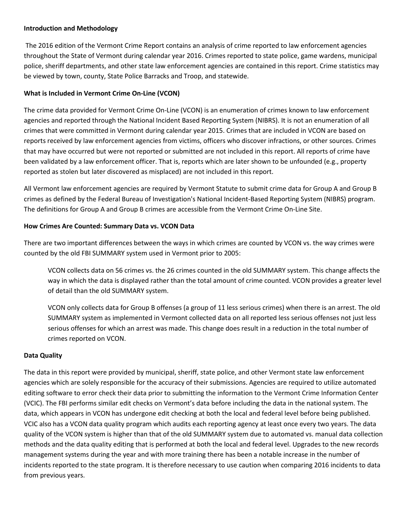## **Introduction and Methodology**

The 2016 edition of the Vermont Crime Report contains an analysis of crime reported to law enforcement agencies throughout the State of Vermont during calendar year 2016. Crimes reported to state police, game wardens, municipal police, sheriff departments, and other state law enforcement agencies are contained in this report. Crime statistics may be viewed by town, county, State Police Barracks and Troop, and statewide.

# **What is Included in Vermont Crime On-Line (VCON)**

The crime data provided for Vermont Crime On-Line (VCON) is an enumeration of crimes known to law enforcement agencies and reported through the National Incident Based Reporting System (NIBRS). It is not an enumeration of all crimes that were committed in Vermont during calendar year 2015. Crimes that are included in VCON are based on reports received by law enforcement agencies from victims, officers who discover infractions, or other sources. Crimes that may have occurred but were not reported or submitted are not included in this report. All reports of crime have been validated by a law enforcement officer. That is, reports which are later shown to be unfounded (e.g., property reported as stolen but later discovered as misplaced) are not included in this report.

All Vermont law enforcement agencies are required by Vermont Statute to submit crime data for Group A and Group B crimes as defined by the Federal Bureau of Investigation's National Incident-Based Reporting System (NIBRS) program. The definitions for Group A and Group B crimes are accessible from the Vermont Crime On-Line Site.

## **How Crimes Are Counted: Summary Data vs. VCON Data**

There are two important differences between the ways in which crimes are counted by VCON vs. the way crimes were counted by the old FBI SUMMARY system used in Vermont prior to 2005:

VCON collects data on 56 crimes vs. the 26 crimes counted in the old SUMMARY system. This change affects the way in which the data is displayed rather than the total amount of crime counted. VCON provides a greater level of detail than the old SUMMARY system.

VCON only collects data for Group B offenses (a group of 11 less serious crimes) when there is an arrest. The old SUMMARY system as implemented in Vermont collected data on all reported less serious offenses not just less serious offenses for which an arrest was made. This change does result in a reduction in the total number of crimes reported on VCON.

## **Data Quality**

The data in this report were provided by municipal, sheriff, state police, and other Vermont state law enforcement agencies which are solely responsible for the accuracy of their submissions. Agencies are required to utilize automated editing software to error check their data prior to submitting the information to the Vermont Crime Information Center (VCIC). The FBI performs similar edit checks on Vermont's data before including the data in the national system. The data, which appears in VCON has undergone edit checking at both the local and federal level before being published. VCIC also has a VCON data quality program which audits each reporting agency at least once every two years. The data quality of the VCON system is higher than that of the old SUMMARY system due to automated vs. manual data collection methods and the data quality editing that is performed at both the local and federal level. Upgrades to the new records management systems during the year and with more training there has been a notable increase in the number of incidents reported to the state program. It is therefore necessary to use caution when comparing 2016 incidents to data from previous years.